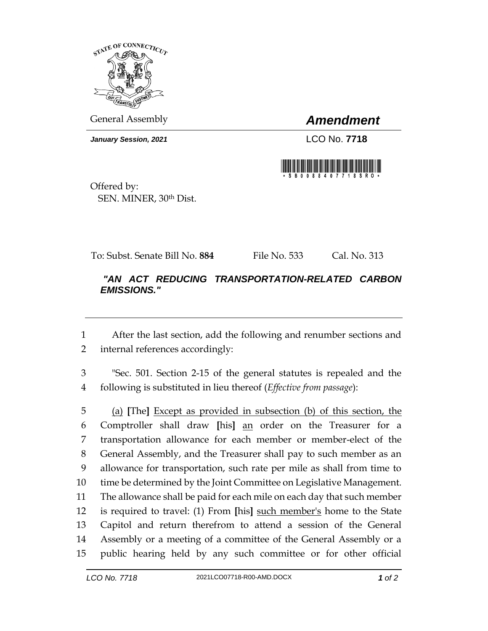

General Assembly *Amendment*

*January Session, 2021* LCO No. **7718**



Offered by: SEN. MINER, 30th Dist.

To: Subst. Senate Bill No. **884** File No. 533 Cal. No. 313

## *"AN ACT REDUCING TRANSPORTATION-RELATED CARBON EMISSIONS."*

 After the last section, add the following and renumber sections and internal references accordingly:

 "Sec. 501. Section 2-15 of the general statutes is repealed and the following is substituted in lieu thereof (*Effective from passage*):

 (a) **[**The**]** Except as provided in subsection (b) of this section, the Comptroller shall draw **[**his**]** an order on the Treasurer for a transportation allowance for each member or member-elect of the General Assembly, and the Treasurer shall pay to such member as an allowance for transportation, such rate per mile as shall from time to time be determined by the Joint Committee on Legislative Management. The allowance shall be paid for each mile on each day that such member is required to travel: (1) From **[**his**]** such member's home to the State Capitol and return therefrom to attend a session of the General Assembly or a meeting of a committee of the General Assembly or a public hearing held by any such committee or for other official